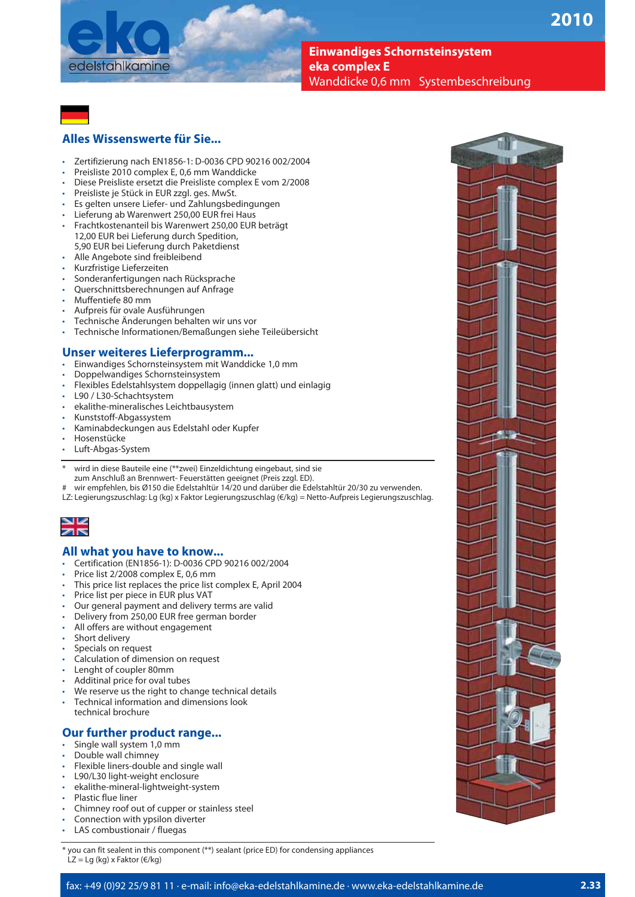

**Einwandiges Schornsteinsystem eka complex E**  Wanddicke 0,6 mm Systembeschreibung



## **Alles Wissenswerte für Sie...**

- t Zertifizierung nach EN1856-1: D-0036 CPD 90216 002/2004
- Preisliste 2010 complex E, 0,6 mm Wanddicke
- Diese Preisliste ersetzt die Preisliste complex E vom 2/2008
- Preisliste je Stück in EUR zzgl. ges. MwSt.
- Es gelten unsere Liefer- und Zahlungsbedingungen
- Lieferung ab Warenwert 250,00 EUR frei Haus
- t Frachtkostenanteil bis Warenwert 250,00 EUR beträgt 12,00 EUR bei Lieferung durch Spedition, 5,90 EUR bei Lieferung durch Paketdienst
- Alle Angebote sind freibleibend
- t Kurzfristige Lieferzeiten
- Sonderanfertigungen nach Rücksprache
- Querschnittsberechnungen auf Anfrage
- Muffentiefe 80 mm
- Aufpreis für ovale Ausführungen
- t Technische Änderungen behalten wir uns vor
- t Technische Informationen/Bemaßungen siehe Teileübersicht

# **Unser weiteres Lieferprogramm...**

- Einwandiges Schornsteinsystem mit Wanddicke 1,0 mm
- Doppelwandiges Schornsteinsystem
- t Flexibles Edelstahlsystem doppellagig (innen glatt) und einlagig
- L90 / L30-Schachtsystem
- t ekalithe-mineralisches Leichtbausystem
- t Kunststoff-Abgassystem
- t Kaminabdeckungen aus Edelstahl oder Kupfer
- Hosenstücke
- Luft-Abgas-System
- wird in diese Bauteile eine (\*\*zwei) Einzeldichtung eingebaut, sind sie zum Anschluß an Brennwert- Feuerstätten geeignet (Preis zzgl. ED).
- wir empfehlen, bis Ø150 die Edelstahltür 14/20 und darüber die Edelstahltür 20/30 zu verwenden.
- LZ: Legierungszuschlag: Lg (kg) x Faktor Legierungszuschlag (€/kg) = Netto-Aufpreis Legierungszuschlag.



### **All what you have to know...**

- t Certification (EN1856-1): D-0036 CPD 90216 002/2004
- Price list 2/2008 complex E, 0,6 mm
- This price list replaces the price list complex E, April 2004
- Price list per piece in EUR plus VAT
- Our general payment and delivery terms are valid
- Delivery from 250,00 EUR free german border
- All offers are without engagement
- Short delivery
- Specials on request
- Calculation of dimension on request
- Lenght of coupler 80mm
- Additinal price for oval tubes
- We reserve us the right to change technical details
- Technical information and dimensions look
- technical brochure

### **Our further product range...**

- Single wall system 1,0 mm
- Double wall chimney
- Flexible liners-double and single wall
- L90/L30 light-weight enclosure
- ekalithe-mineral-lightweight-system
- Plastic flue liner
- Chimney roof out of cupper or stainless steel
- Connection with ypsilon diverter
- LAS combustionair / fluegas

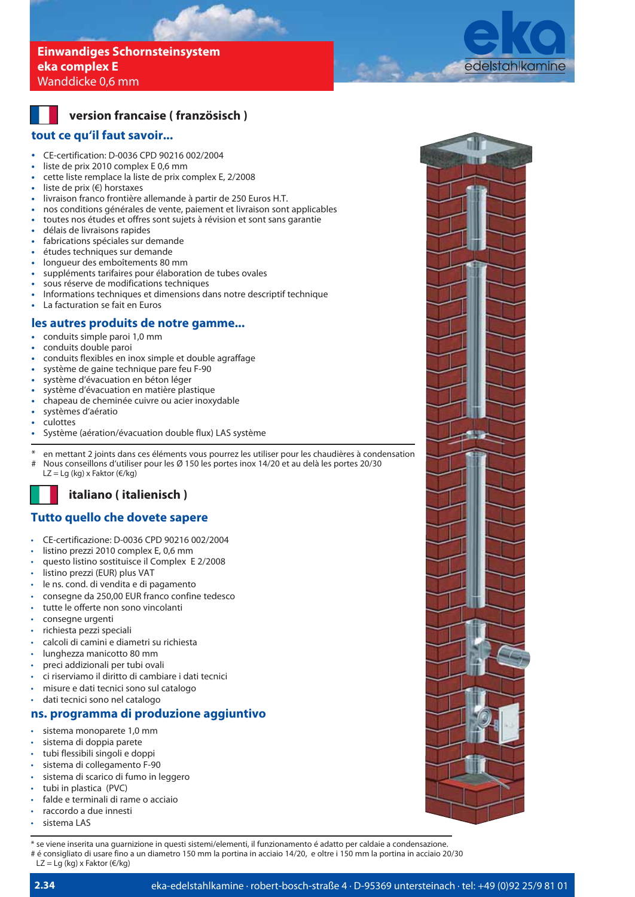## **Einwandiges Schornsteinsystem eka complex E**  Wanddicke 0,6 mm



## **version francaise ( französisch )**

## **tout ce qu'il faut savoir...**

- **CE-certification: D-0036 CPD 90216 002/2004**<br> **Example 1** Liste de prix 2010 complex E 0.6 mm
- liste de prix 2010 complex E 0,6 mm
- **t** cette liste remplace la liste de prix complex E, 2/2008
- **t** liste de prix (€) horstaxes
- **t** livraison franco frontière allemande à partir de 250 Euros H.T.
- **t** nos conditions générales de vente, paiement et livraison sont applicables
- **t** toutes nos études et offres sont sujets à révision et sont sans garantie
- **t** délais de livraisons rapides
- **t** fabrications spéciales sur demande
- **t** études techniques sur demande
- **t** longueur des emboîtements 80 mm
- **t** suppléments tarifaires pour élaboration de tubes ovales
- **t** sous réserve de modifications techniques
- **t** Informations techniques et dimensions dans notre descriptif technique
- La facturation se fait en Euros

### **les autres produits de notre gamme...**

- **t** conduits simple paroi 1,0 mm
- **t** conduits double paroi
- **t** conduits flexibles en inox simple et double agraffage
- système de gaine technique pare feu F-90
- **t** système d'évacuation en béton léger
- **t** système d'évacuation en matière plastique
- **t** chapeau de cheminée cuivre ou acier inoxydable
- **t** systèmes d'aératio
- **t** culottes
- **t** Système (aération/évacuation double flux) LAS système
- \* en mettant 2 joints dans ces éléments vous pourrez les utiliser pour les chaudières à condensation
- Nous conseillons d'utiliser pour les Ø 150 les portes inox 14/20 et au delà les portes 20/30 LZ = Lg (kg) x Faktor ( $\epsilon$ /kg)

## **italiano ( italienisch )**

## **Tutto quello che dovete sapere**

- t CE-certificazione: D-0036 CPD 90216 002/2004
- listino prezzi 2010 complex E, 0,6 mm
- questo listino sostituisce il Complex E 2/2008
- listino prezzi (EUR) plus VAT
- le ns. cond. di vendita e di pagamento
- consegne da 250,00 EUR franco confine tedesco
- tutte le offerte non sono vincolanti
- consegne urgenti
- richiesta pezzi speciali
- calcoli di camini e diametri su richiesta
- lunghezza manicotto 80 mm
- preci addizionali per tubi ovali
- t ci riserviamo il diritto di cambiare i dati tecnici
- misure e dati tecnici sono sul catalogo
- dati tecnici sono nel catalogo

## **ns. programma di produzione aggiuntivo**

- sistema monoparete 1,0 mm
- sistema di doppia parete
- tubi flessibili singoli e doppi
- sistema di collegamento F-90
- sistema di scarico di fumo in leggero
- tubi in plastica (PVC)
- falde e terminali di rame o acciaio
- raccordo a due innesti
- sistema LAS

**2.34**

\* se viene inserita una guarnizione in questi sistemi/elementi, il funzionamento é adatto per caldaie a condensazione.

# é consigliato di usare fino a un diametro 150 mm la portina in acciaio 14/20, e oltre i 150 mm la portina in acciaio 20/30

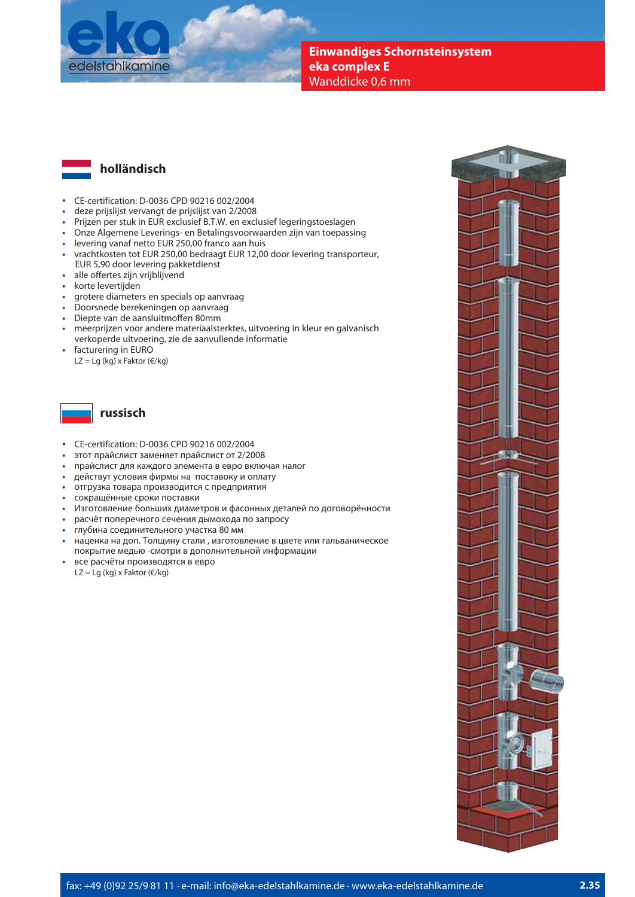



- CE-certification: D-0036 CPD 90216 002/2004
- **t** deze prijslijst vervangt de prijslijst van 2/2008
- **t** Prijzen per stuk in EUR exclusief B.T.W. en exclusief legeringstoeslagen
- **t** Onze Algemene Leverings- en Betalingsvoorwaarden zijn van toepassing
- **t** levering vanaf netto EUR 250,00 franco aan huis
- **t** vrachtkosten tot EUR 250,00 bedraagt EUR 12,00 door levering transporteur, EUR 5,90 door levering pakketdienst
- **t** alle offertes zijn vrijblijvend
- **t** korte levertijden
- **to grotere diameters en specials op aanvraag<br>
<b>Algoritation** betekeningen op aanvraag
- **t** Doorsnede berekeningen op aanvraag
- **t** Diepte van de aansluitmoffen 80mm
- **t** meerprijzen voor andere materiaalsterktes, uitvoering in kleur en galvanisch verkoperde uitvoering, zie de aanvullende informatie
- **t** facturering in EURO
- LZ = Lg (kg) x Faktor (€/kg)



## **russisch**

- CE-certification: D-0036 CPD 90216 002/2004
- **t** этот прайслист заменяет прайслист от 2/2008
- **t** прайслист для каждого элемента в евро включая налог
- **t** действут условия фирмы на поставоку и оплату
- **t** отгрузка товара производится с предприятия
- **t** сокращённые сроки поставки
- **t** Изготовление больших диаметров и фасонных деталей по договорённости
- **t** расчёт поперечного сечения дымохода по запросу
- **t** глубина соединительного участка 80 мм
- **t** наценка на доп. Толщину стали , изготовление в цвете или гальваническое покрытие медью -смотри в дополнительной информации
- **t** все расчёты производятся в евро LZ = Lg (kg) x Faktor ( $\varepsilon$ /kg)

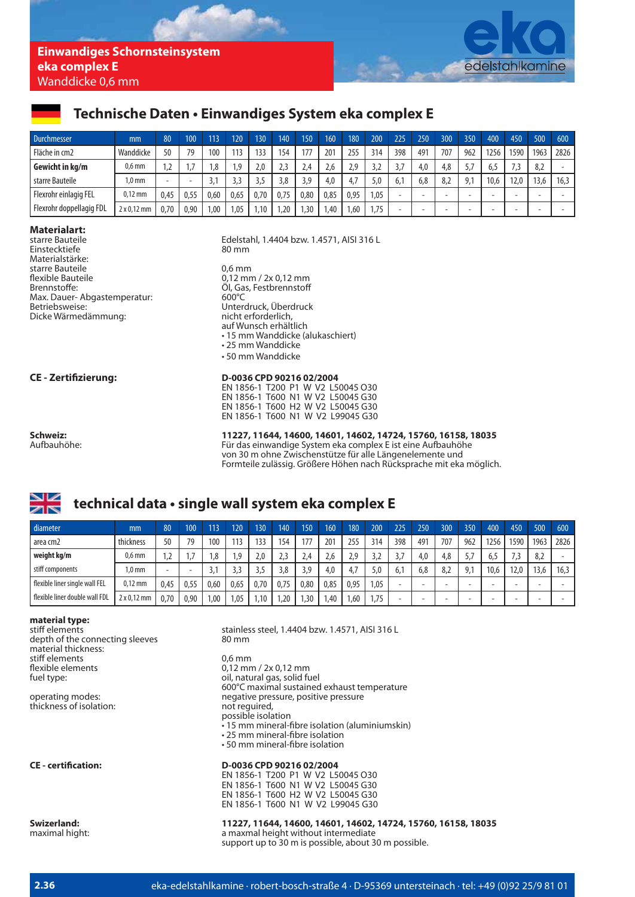

## Technische Daten · Einwandiges System eka complex E

| <b>Durchmesser</b>       | mm          | 80   | 100  |          | 120  | 130           | 140  | 150  | 160  | 180  | 200 <sup>1</sup> | 225 | 250 | 300 | 350            | 400                      | 450  | 500  | 600  |
|--------------------------|-------------|------|------|----------|------|---------------|------|------|------|------|------------------|-----|-----|-----|----------------|--------------------------|------|------|------|
| Fläche in cm2            | Wanddicke   | 50   | 79   | 100      | 113  | 133           | 154  | 177  | 201  | 255  | 314              | 398 | 491 | 707 | 962            | 1256                     | 1590 | 1963 | 2826 |
| Gewicht in kg/m          | $0.6$ mm    |      |      | .8       | .9   | $2.0^{\circ}$ | 2.3  | 2.4  | 2.6  | 2.9  |                  |     | 4,0 | 4.8 | 57             | 6,5                      |      | 8,2  |      |
| starre Bauteile          | l.0 mm      | -    |      | <u>.</u> | ર ર  |               | 3,8  | 3.9  | 4,0  | 4.7  | 5.0              | 6.  | 6.8 | 8.2 | Q <sub>1</sub> | 10.6                     | 12.0 | 13,6 | 16.3 |
| Flexrohr einlagig FEL    | $0,12$ mm   | 0.45 | 0,55 | 0.60     | 0,65 | 0,70          | 0.75 | 0.80 | 0.85 | 0,95 | 1,05             |     |     |     |                | -                        |      |      |      |
| Flexrohr doppellagig FDL | 2 x 0,12 mm | 0,70 | 0,90 | .00      | 1,05 | .10           | ,20  | , 30 | .40  | 1,60 | 1,75             |     |     | -   | -              | $\overline{\phantom{0}}$ | -    |      |      |

# **Materialart:**

Einstecktiefe Materialstärke: starre Bauteile 0,6 mm flexible Bauteile 1,000 mm / 2x 0,12 mm / 2x 0,12 mm 7 cm mm / 2x 0,12 mm mm / 2x 0,12 mm mm mm mm mm mm mm mm<br>
Gl. Gas. Festbrennstoff Max. Dauer-Abgastemperatur:<br>Betriebsweise: Dicke Wärmedämmung:

Edelstahl, 1.4404 bzw. 1.4571, AISI 316 L<br>80 mm Öl, Gas, Festbrennstoff<br>600°C Unterdruck, Überdruck<br>nicht erforderlich, auf Wunsch erhältlich the 15 mm Wanddicke (alukaschiert) **•** 15 mm Wanddicke (alukaschiert)  $\cdot$  25 mm Wanddicke

| <b>Schweiz:</b> |  |
|-----------------|--|
| Aufbauhöhe:     |  |

### **CE - Zertifizierung: D-0036 CPD 90216 02/2004**

 $\cdot$  50 mm Wanddicke

EN 1856-1 T200 P1 W V2 L50045 O30 EN 1856-1 T600 N1 W V2 L50045 G30 EN 1856-1 T600 H2 W V2 L50045 G30 EN 1856-1 T600 N1 W V2 L99045 G30

**Schweiz: 11227, 11644, 14600, 14601, 14602, 14724, 15760, 16158, 18035** Für das einwandige System eka complex E ist eine Aufbauhöhe von 30 m ohne Zwischenstütze für alle Längenelemente und Formteile zulässig. Größere Höhen nach Rücksprache mit eka möglich.

# technical data · single wall system eka complex E

| diameter                       | mm                 | 80   | 100  | 113  | 120  | 130  | 140  | 150  | 160  | 180  | 200  | 225 | 250 | 300 | 350            | 400  | 450  | 500  | 600  |
|--------------------------------|--------------------|------|------|------|------|------|------|------|------|------|------|-----|-----|-----|----------------|------|------|------|------|
| area cm2                       | thickness          | 50   | 79   | 100  | 113  |      | 154  | 177  | 201  | 255  | 314  | 398 | 491 | 707 | 962            | 1256 | 1590 | 1963 | 2826 |
| weight kg/m                    | $0.6$ mm           | ے،   |      | .8   | .9   | 2.0  |      | 2.4  | 2.6  | 2.9  |      |     | 4.0 | 4,8 |                | 6.5  |      | 8,2  |      |
| stiff components               | l.0 mm             |      |      |      | 3.3  |      | 3.8  | 3.9  | 4.0  | 47   | 5.0  | 6.1 | 6.8 | 8,2 | Q <sub>1</sub> | 10,6 | 12.0 | 13,6 | 16.3 |
| flexible liner single wall FEL | $0.12 \text{ mm}$  | 0.45 | 0.55 | 0.60 | 0,65 | 0,70 | 0.75 | 0.80 | 0.85 | 0.95 | 1,05 |     |     |     | -              |      |      |      |      |
| flexible liner double wall FDL | $2 \times 0.12$ mm | 0.70 | 0.90 | .00  | .05  | 10   | .20  | , 30 | .40  | .60  | 1,75 |     |     |     | -              |      |      |      |      |

# **material type:**

depth of the connecting sleeves material thickness: stiff elements and the control of the policies of the state of the distribution of the distribution of the distribution of the distribution of the distribution of the distribution of the distribution of the distribution of flexible elements and the discussion of the discussion of the discussion of the discussion of the discussion of the discussion of the discussion of the discussion of the discussion of the discussion of the discussion of th

thickness of isolation:

stainless steel, 1.4404 bzw. 1.4571, AISI 316 L<br>80 mm

oil, natural gas, solid fuel Fig. 2. The set of the set of the set of the set of the set of the set of the set of the set of the set of the set of the set of the set of the set of the set of the set of the set of the set of the set of the set of the s negative pressure, positive pressure<br>not required, possible isolation  $\bullet$  15 mm mineral-fibre isolation (aluminiumskin) • 25 mm mineral-fibre isolation • 50 mm mineral-fibre isolation

**CE - certification: D-0036 CPD 90216 02/2004** EN 1856-1 T200 P1 W V2 L50045 O30 EN 1856-1 T600 N1 W V2 L50045 G30 EN 1856-1 T600 H2 W V2 L50045 G30 EN 1856-1 T600 N1 W V2 L99045 G30

**Swizerland:** 11227, 11644, 14600, 14601, 14602, 14724, 15760, 16158, 18035<br>maximal hight: a maxmal height without intermediate a maxmal height without intermediate support up to 30 m is possible, about 30 m possible.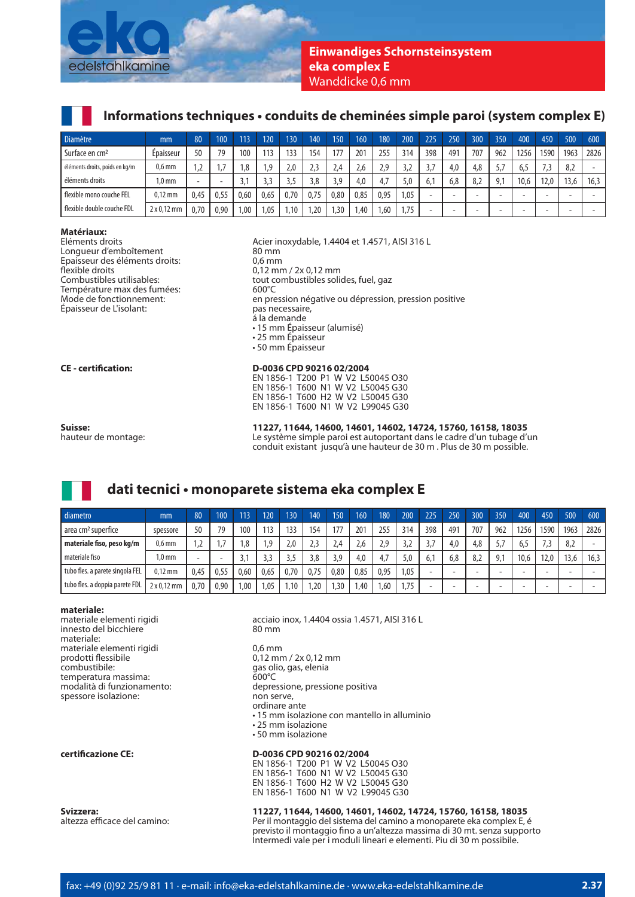

## **Einwandiges Schornsteinsystem eka complex E**  Wanddicke 0,6 mm

# Informations techniques • conduits de cheminées simple paroi (system complex E)

| <b>Diamètre</b>                | mm                 | 80   | 100  |      | 120  | 130  | 140  | 150  | 160  | 180  | 200  | 225 | 250 | 300 | 350            | 400                      | 450  | 500  | 600  |
|--------------------------------|--------------------|------|------|------|------|------|------|------|------|------|------|-----|-----|-----|----------------|--------------------------|------|------|------|
| Surface en cm <sup>2</sup>     | Epaisseur          | 50   | 79   | 100  | 113  | 133  | 154  | 177  | 201  | 255  | 314  | 398 | 491 | 707 | 962            | 1256                     | 1590 | 1963 | 2826 |
| éléments droits, poids en kg/m | $0.6$ mm           |      |      | . 8  | 1,9  | 2.0  | 2.3  | 2.4  | 2.6  | 2,9  |      |     | 4,0 | 4.8 |                | 6,5                      |      | 8,2  |      |
| éléments droits                | 1.0 <sub>mm</sub>  | -    | -    |      |      |      | 3,8  | 3.9  | 4,0  | 4,7  | 5.0  | 6,  | 6,8 | 8.2 | Q <sub>1</sub> | 10.6                     | 12.0 | 13.6 | 16.3 |
| flexible mono couche FEL       | $0.12 \text{ mm}$  | 0.45 | 0.55 | 0.60 | 0.65 | 0,70 | 0.75 | 0.80 | 0.85 | 0.95 | 1.05 |     |     |     |                | $\overline{\phantom{0}}$ |      |      |      |
| flexible double couche FDL     | $2 \times 0.12$ mm | 0.70 | 0.90 | .00  | 1,05 | .10  | .20  | , 30 | .40  | 1,60 | 75،، |     |     |     |                | -                        |      |      |      |

**Matériaux:** Longueur d'emboîtement 80 mm Epaisseur des éléments droits:<br>flexible droits flexible droits 0,12 mm / 2x 0,12 mm<br>
Combustibles utilisables:<br>
tout combustibles soli Température max des fumées:<br>Mode de fonctionnement: Épaisseur de L'isolant:

Acier inoxydable, 1.4404 et 1.4571, AISI 316 L<br>80 mm tout combustibles solides, fuel, gaz<br>600°C en pression négative ou dépression, pression positive<br>pas necessaire, á la demande the 15 mm Epaisseur (alumisé) . • 15 mm Epaisseur (alumisé)  $\cdot$  25 mm Épaisseur  $\cdot$  50 mm Épaisseur **CE - certification: D-0036 CPD 90216 02/2004** EN 1856-1 T200 P1 W V2 L50045 O30 EN 1856-1 T600 N1 W V2 L50045 G30 EN 1856-1 T600 H2 W V2 L50045 G30

**Suisse: 11227, 11644, 14600, 14601, 14602, 14724, 15760, 16158, 18035** Le système simple paroi est autoportant dans le cadre d'un tubage d'un conduit existant jusqu'à une hauteur de 30 m . Plus de 30 m possible.

# **dati tecnici • monoparete sistema eka complex E**

| diametro                        | mm                 | 80   | 100  | 113  | 120  | 130              | 140   | 150  | 160  | 180  | 200  | 225 | 250 | 300 | 350                      | 400                      | 450  | 500  | 600  |
|---------------------------------|--------------------|------|------|------|------|------------------|-------|------|------|------|------|-----|-----|-----|--------------------------|--------------------------|------|------|------|
| area cm <sup>2</sup> superfice  | spessore           | 50   | 79   | 100  | 113  | 133              | 154   | 177  | 201  | 255  | 314  | 398 | 491 | 707 | 962                      | 1256                     | 1590 | 1963 | 2826 |
| materiale fiso, peso kg/m       | $0,6$ mm           |      |      |      | .9   | 2.0 <sub>2</sub> | ر ، ے | 2.4  | 2.6  | 2,9  | ے،ر  |     | 4.0 | 4.8 |                          | 0.J                      |      | 8,2  |      |
| materiale fiso                  | .0 <sub>m</sub>    |      |      |      |      |                  | 3,8   | 3.9  | 4.0  | 4.7  | 5.0  | 6.  | 6.8 | 8,2 | Q <sub>1</sub>           | 10.6                     | 12.0 | 13.6 | 16.3 |
| tubo fles. a parete singola FEL | $0.12 \text{ mm}$  | 0.45 | 0.55 | 0.60 | 0,65 | 0,70             | 0,75  | 0.80 | 0.85 | 0,95 | 1,05 |     |     |     | $\overline{\phantom{0}}$ | $\overline{\phantom{0}}$ |      |      |      |
| tubo fles. a doppia parete FDL  | $2 \times 0.12$ mm | 0.70 | 0.90 | .00  | .05  | .10              | .20   | , 30 | .40  | 1.60 | 1.75 |     |     |     |                          | -                        |      |      |      |

EN 1856-1 T600 N1 W V2 L99045 G30

**materiale:** innesto del bicchiere materiale: materiale elementi rigidi 0,6 mm<br>prodotti flessibile 0,12 mm prodotti flessibile  $\begin{array}{ccc} 0,12 \text{ mm} / 2x 0,12 \text{ mm} \\ 0,12 \text{ mm} / 2x 0,12 \text{ mm} \end{array}$ temperatura massima:<br>modalità di funzionamento: spessore isolazione:

**certificazione CE: D-0036 CPD 90216 02/2004**

acciaio inox, 1.4404 ossia 1.4571, AISI 316 L<br>80 mm

gas olio, gas, elenia<br>600°C depressione, pressione positiva<br>non serve, ordinare ante • 15 mm isolazione con mantello in alluminio  $\cdot$  25 mm isolazione  $\cdot$  50 mm isolazione EN 1856-1 T200 P1 W V2 L50045 O30

 EN 1856-1 T600 N1 W V2 L50045 G30 EN 1856-1 T600 H2 W V2 L50045 G30 EN 1856-1 T600 N1 W V2 L99045 G30

# **Svizzera: 11227, 11644, 14600, 14601, 14602, 14724, 15760, 16158, 18035**<br>, Per il montaggio del sistema del camino a monoparete eka complex E, e

Per il montaggio del sistema del camino a monoparete eka complex E, é previsto il montaggio fino a un'altezza massima di 30 mt. senza supporto Intermedi vale per i moduli lineari e elementi. Piu di 30 m possibile.